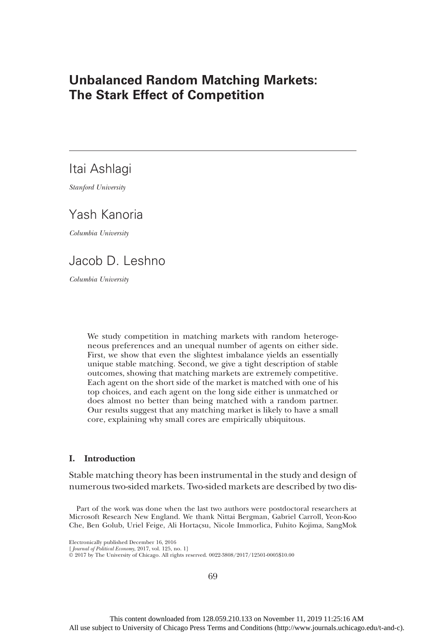# Unbalanced Random Matching Markets: The Stark Effect of Competition

Stanford University

Yash Kanoria

 $Columbia$  University

Jacob D. Leshno

Jacob D. Leshno Columbia University

We study competition in matching markets with random heterogeneous preferences and an unequal number of agents on either side. First, we show that even the slightest imbalance yields an essentially unique stable matching. Second, we give a tight description of stable outcomes, showing that matching markets are extremely competitive. Each agent on the short side of the market is matched with one of his top choices, and each agent on the long side either is unmatched or does almost no better than being matched with a random partner. Our results suggest that any matching market is likely to have a small core, explaining why small cores are empirically ubiquitous.

# I. Introduction

Stable matching theory has been instrumental in the study and design of numerous two-sided markets. Two-sided markets are described by two dis-

Part of the work was done when the last two authors were postdoctoral researchers at Microsoft Research New England. We thank Nittai Bergman, Gabriel Carroll, Yeon-Koo Che, Ben Golub, Uriel Feige, Ali Hortaçsu, Nicole Immorlica, Fuhito Kojima, SangMok

Electronically published December 16, 2016

[ Journal of Political Economy, 2017, vol. 125, no. 1]

© 2017 by The University of Chicago. All rights reserved. 0022-3808/2017/12501-0005\$10.00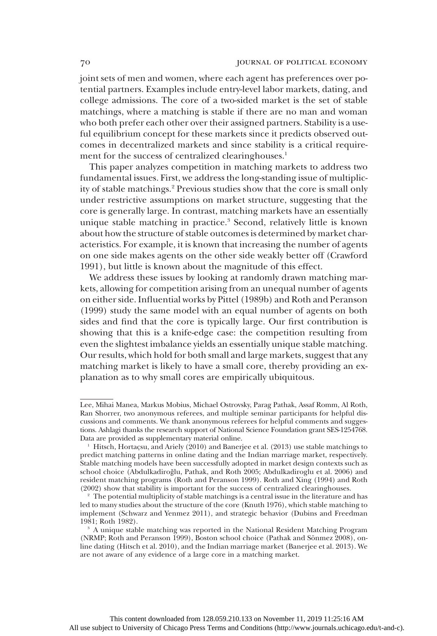joint sets of men and women, where each agent has preferences over potential partners. Examples include entry-level labor markets, dating, and college admissions. The core of a two-sided market is the set of stable matchings, where a matching is stable if there are no man and woman who both prefer each other over their assigned partners. Stability is a useful equilibrium concept for these markets since it predicts observed outcomes in decentralized markets and since stability is a critical requirement for the success of centralized clearinghouses.<sup>1</sup>

This paper analyzes competition in matching markets to address two fundamental issues. First, we address the long-standing issue of multiplicity of stable matchings.2 Previous studies show that the core is small only under restrictive assumptions on market structure, suggesting that the core is generally large. In contrast, matching markets have an essentially unique stable matching in practice.3 Second, relatively little is known about how the structure of stable outcomes is determined by market characteristics. For example, it is known that increasing the number of agents on one side makes agents on the other side weakly better off (Crawford 1991), but little is known about the magnitude of this effect.

We address these issues by looking at randomly drawn matching markets, allowing for competition arising from an unequal number of agents on either side. Influential works by Pittel (1989b) and Roth and Peranson (1999) study the same model with an equal number of agents on both sides and find that the core is typically large. Our first contribution is showing that this is a knife-edge case: the competition resulting from even the slightest imbalance yields an essentially unique stable matching. Our results, which hold for both small and large markets, suggest that any matching market is likely to have a small core, thereby providing an explanation as to why small cores are empirically ubiquitous.

Lee, Mihai Manea, Markus Mobius, Michael Ostrovsky, Parag Pathak, Assaf Romm, Al Roth, Ran Shorrer, two anonymous referees, and multiple seminar participants for helpful discussions and comments. We thank anonymous referees for helpful comments and suggestions. Ashlagi thanks the research support of National Science Foundation grant SES-1254768. Data are provided as supplementary material online.

 $1$  Hitsch, Hortaçsu, and Ariely (2010) and Banerjee et al. (2013) use stable matchings to predict matching patterns in online dating and the Indian marriage market, respectively. Stable matching models have been successfully adopted in market design contexts such as school choice (Abdulkadiroğlu, Pathak, and Roth 2005; Abdulkadiroglu et al. 2006) and resident matching programs (Roth and Peranson 1999). Roth and Xing (1994) and Roth (2002) show that stability is important for the success of centralized clearinghouses.

 $2$  The potential multiplicity of stable matchings is a central issue in the literature and has led to many studies about the structure of the core (Knuth 1976), which stable matching to implement (Schwarz and Yenmez 2011), and strategic behavior (Dubins and Freedman 1981; Roth 1982).

<sup>3</sup> A unique stable matching was reported in the National Resident Matching Program (NRMP; Roth and Peranson 1999), Boston school choice (Pathak and Sönmez 2008), online dating (Hitsch et al. 2010), and the Indian marriage market (Banerjee et al. 2013). We are not aware of any evidence of a large core in a matching market.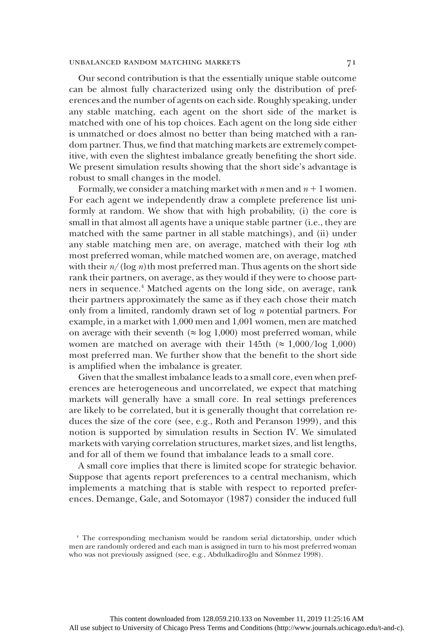# UNBALANCED RANDOM MATCHING MARKETS 71

Our second contribution is that the essentially unique stable outcome can be almost fully characterized using only the distribution of preferences and the number of agents on each side. Roughly speaking, under any stable matching, each agent on the short side of the market is matched with one of his top choices. Each agent on the long side either is unmatched or does almost no better than being matched with a random partner. Thus, we find that matching markets are extremely competitive, with even the slightest imbalance greatly benefiting the short side. We present simulation results showing that the short side's advantage is robust to small changes in the model.

Formally, we consider a matching market with *n* men and  $n + 1$  women. For each agent we independently draw a complete preference list uniformly at random. We show that with high probability, (i) the core is small in that almost all agents have a unique stable partner (i.e., they are matched with the same partner in all stable matchings), and (ii) under any stable matching men are, on average, matched with their log nth most preferred woman, while matched women are, on average, matched with their  $n/(\log n)$ th most preferred man. Thus agents on the short side rank their partners, on average, as they would if they were to choose partners in sequence.4 Matched agents on the long side, on average, rank their partners approximately the same as if they each chose their match only from a limited, randomly drawn set of log n potential partners. For example, in a market with 1,000 men and 1,001 women, men are matched on average with their seventh ( $\approx$  log 1,000) most preferred woman, while women are matched on average with their 145th ( $\approx 1,000/\log 1,000$ ) most preferred man. We further show that the benefit to the short side is amplified when the imbalance is greater.

Given that the smallest imbalance leads to a small core, even when preferences are heterogeneous and uncorrelated, we expect that matching markets will generally have a small core. In real settings preferences are likely to be correlated, but it is generally thought that correlation reduces the size of the core (see, e.g., Roth and Peranson 1999), and this notion is supported by simulation results in Section IV. We simulated markets with varying correlation structures, market sizes, and list lengths, and for all of them we found that imbalance leads to a small core.

A small core implies that there is limited scope for strategic behavior. Suppose that agents report preferences to a central mechanism, which implements a matching that is stable with respect to reported preferences. Demange, Gale, and Sotomayor (1987) consider the induced full

<sup>&</sup>lt;sup>4</sup> The corresponding mechanism would be random serial dictatorship, under which men are randomly ordered and each man is assigned in turn to his most preferred woman who was not previously assigned (see, e.g., Abdulkadiroğlu and Sönmez 1998).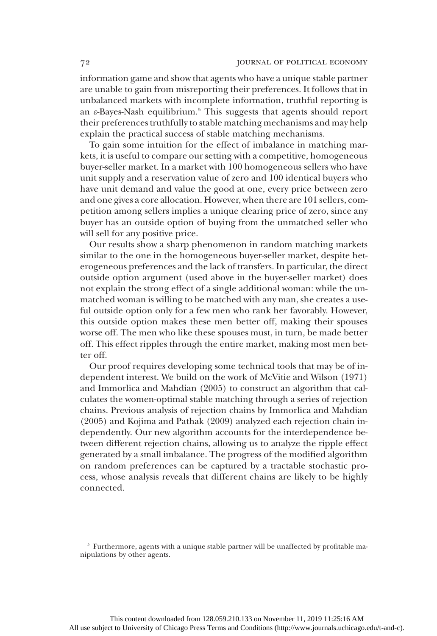information game and show that agents who have a unique stable partner are unable to gain from misreporting their preferences. It follows that in unbalanced markets with incomplete information, truthful reporting is an  $\varepsilon$ -Bayes-Nash equilibrium.<sup>5</sup> This suggests that agents should report their preferences truthfully to stable matching mechanisms and may help explain the practical success of stable matching mechanisms.

To gain some intuition for the effect of imbalance in matching markets, it is useful to compare our setting with a competitive, homogeneous buyer-seller market. In a market with 100 homogeneous sellers who have unit supply and a reservation value of zero and 100 identical buyers who have unit demand and value the good at one, every price between zero and one gives a core allocation. However, when there are 101 sellers, competition among sellers implies a unique clearing price of zero, since any buyer has an outside option of buying from the unmatched seller who will sell for any positive price.

Our results show a sharp phenomenon in random matching markets similar to the one in the homogeneous buyer-seller market, despite heterogeneous preferences and the lack of transfers. In particular, the direct outside option argument (used above in the buyer-seller market) does not explain the strong effect of a single additional woman: while the unmatched woman is willing to be matched with any man, she creates a useful outside option only for a few men who rank her favorably. However, this outside option makes these men better off, making their spouses worse off. The men who like these spouses must, in turn, be made better off. This effect ripples through the entire market, making most men better off.

Our proof requires developing some technical tools that may be of independent interest. We build on the work of McVitie and Wilson (1971) and Immorlica and Mahdian (2005) to construct an algorithm that calculates the women-optimal stable matching through a series of rejection chains. Previous analysis of rejection chains by Immorlica and Mahdian (2005) and Kojima and Pathak (2009) analyzed each rejection chain independently. Our new algorithm accounts for the interdependence between different rejection chains, allowing us to analyze the ripple effect generated by a small imbalance. The progress of the modified algorithm on random preferences can be captured by a tractable stochastic process, whose analysis reveals that different chains are likely to be highly connected.

 $5$  Furthermore, agents with a unique stable partner will be unaffected by profitable manipulations by other agents.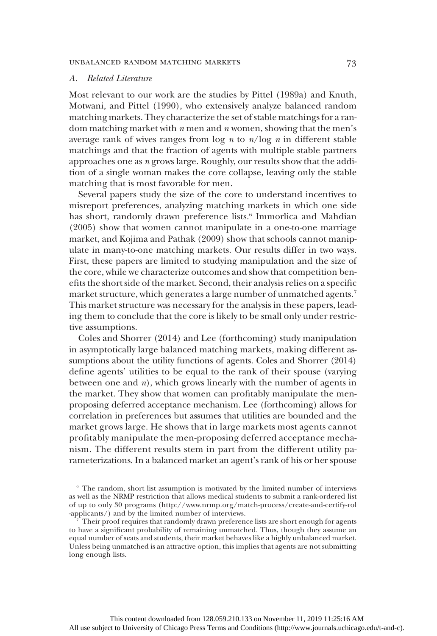## A. Related Literature

Most relevant to our work are the studies by Pittel (1989a) and Knuth, Motwani, and Pittel (1990), who extensively analyze balanced random matching markets. They characterize the set of stable matchings for a random matching market with  $n$  men and  $n$  women, showing that the men's average rank of wives ranges from  $\log n$  to  $n/\log n$  in different stable matchings and that the fraction of agents with multiple stable partners approaches one as n grows large. Roughly, our results show that the addition of a single woman makes the core collapse, leaving only the stable matching that is most favorable for men.

Several papers study the size of the core to understand incentives to misreport preferences, analyzing matching markets in which one side has short, randomly drawn preference lists.<sup>6</sup> Immorlica and Mahdian (2005) show that women cannot manipulate in a one-to-one marriage market, and Kojima and Pathak (2009) show that schools cannot manipulate in many-to-one matching markets. Our results differ in two ways. First, these papers are limited to studying manipulation and the size of the core, while we characterize outcomes and show that competition benefits the short side of the market. Second, their analysis relies on a specific market structure, which generates a large number of unmatched agents.<sup>7</sup> This market structure was necessary for the analysis in these papers, leading them to conclude that the core is likely to be small only under restrictive assumptions.

Coles and Shorrer (2014) and Lee (forthcoming) study manipulation in asymptotically large balanced matching markets, making different assumptions about the utility functions of agents. Coles and Shorrer (2014) define agents' utilities to be equal to the rank of their spouse (varying between one and n), which grows linearly with the number of agents in the market. They show that women can profitably manipulate the menproposing deferred acceptance mechanism. Lee (forthcoming) allows for correlation in preferences but assumes that utilities are bounded and the market grows large. He shows that in large markets most agents cannot profitably manipulate the men-proposing deferred acceptance mechanism. The different results stem in part from the different utility parameterizations. In a balanced market an agent's rank of his or her spouse

<sup>6</sup> The random, short list assumption is motivated by the limited number of interviews as well as the NRMP restriction that allows medical students to submit a rank-ordered list of up to only 30 programs (http://www.nrmp.org/match-process/create-and-certify-rol -applicants/) and by the limited number of interviews.

<sup>7</sup> Their proof requires that randomly drawn preference lists are short enough for agents to have a significant probability of remaining unmatched. Thus, though they assume an equal number of seats and students, their market behaves like a highly unbalanced market. Unless being unmatched is an attractive option, this implies that agents are not submitting long enough lists.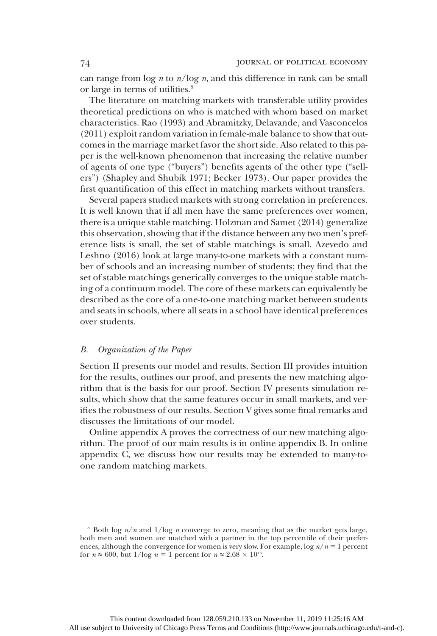can range from  $\log n$  to  $n/\log n$ , and this difference in rank can be small or large in terms of utilities.<sup>8</sup>

The literature on matching markets with transferable utility provides theoretical predictions on who is matched with whom based on market characteristics. Rao (1993) and Abramitzky, Delavande, and Vasconcelos (2011) exploit random variation in female-male balance to show that outcomes in the marriage market favor the short side. Also related to this paper is the well-known phenomenon that increasing the relative number of agents of one type ("buyers") benefits agents of the other type ("sellers") (Shapley and Shubik 1971; Becker 1973). Our paper provides the first quantification of this effect in matching markets without transfers.

Several papers studied markets with strong correlation in preferences. It is well known that if all men have the same preferences over women, there is a unique stable matching. Holzman and Samet (2014) generalize this observation, showing that if the distance between any two men's preference lists is small, the set of stable matchings is small. Azevedo and Leshno (2016) look at large many-to-one markets with a constant number of schools and an increasing number of students; they find that the set of stable matchings generically converges to the unique stable matching of a continuum model. The core of these markets can equivalently be described as the core of a one-to-one matching market between students and seats in schools, where all seats in a school have identical preferences over students.

# B. Organization of the Paper

Section II presents our model and results. Section III provides intuition for the results, outlines our proof, and presents the new matching algorithm that is the basis for our proof. Section IV presents simulation results, which show that the same features occur in small markets, and verifies the robustness of our results. Section V gives some final remarks and discusses the limitations of our model.

Online appendix A proves the correctness of our new matching algorithm. The proof of our main results is in online appendix B. In online appendix C, we discuss how our results may be extended to many-toone random matching markets.

<sup>&</sup>lt;sup>8</sup> Both log  $n/n$  and  $1/\log n$  converge to zero, meaning that as the market gets large, both men and women are matched with a partner in the top percentile of their preferences, although the convergence for women is very slow. For example,  $\log n/n = 1$  percent for  $n \approx 600$ , but  $1/\log n = 1$  percent for  $n \approx 2.68 \times 10^{43}$ .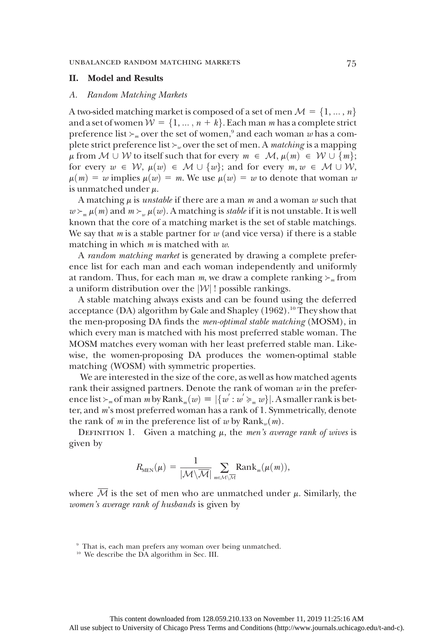# II. Model and Results

#### A. Random Matching Markets

A two-sided matching market is composed of a set of men  $\mathcal{M} = \{1, ..., n\}$ and a set of women  $W = \{1, ..., n + k\}$ . Each man m has a complete strict preference list  $\succ_m$  over the set of women,<sup>9</sup> and each woman w has a complete strict preference list  $\succ_w$  over the set of men. A *matching* is a mapping  $\mu$  from M  $\cup$  W to itself such that for every  $m \in M$ ,  $\mu(m) \in W \cup \{m\};$ for every  $w \in \mathcal{W}$ ,  $\mu(w) \in \mathcal{M} \cup \{w\}$ ; and for every  $m, w \in \mathcal{M} \cup \mathcal{W}$ ,  $\mu(m) = w$  implies  $\mu(w) = m$ . We use  $\mu(w) = w$  to denote that woman w is unmatched under  $\mu$ .

A matching  $\mu$  is *unstable* if there are a man m and a woman w such that  $w >_{m} \mu(m)$  and  $m >_{w} \mu(w)$ . A matching is *stable* if it is not unstable. It is well known that the core of a matching market is the set of stable matchings. We say that  $m$  is a stable partner for  $w$  (and vice versa) if there is a stable matching in which  $m$  is matched with  $w$ .

A random matching market is generated by drawing a complete preference list for each man and each woman independently and uniformly at random. Thus, for each man m, we draw a complete ranking  $\succ_m$  from a uniform distribution over the  $|W|$ ! possible rankings.

A stable matching always exists and can be found using the deferred acceptance (DA) algorithm by Gale and Shapley (1962).<sup>10</sup> They show that the men-proposing DA finds the men-optimal stable matching (MOSM), in which every man is matched with his most preferred stable woman. The MOSM matches every woman with her least preferred stable man. Likewise, the women-proposing DA produces the women-optimal stable matching (WOSM) with symmetric properties.

We are interested in the size of the core, as well as how matched agents rank their assigned partners. Denote the rank of woman  $w$  in the preference list ≻<sub>m</sub> of man *m* by Rank<sub>m</sub> $(w) \equiv |\{w : w \succcurlyeq_m w\}|$ . A smaller rank is bet-<br>ter and m's most preferred woman bas a rank of 1. Symmetrically denote ter, and m's most preferred woman has a rank of 1. Symmetrically, denote the rank of m in the preference list of w by  $\text{Rank}_w(m)$ .

DEFINITION 1. Given a matching  $\mu$ , the men's average rank of wives is given by

$$
R_{\text{MEN}}(\mu) = \frac{1}{|\mathcal{M}\backslash\overline{\mathcal{M}}|} \sum_{m\in\mathcal{M}\backslash\overline{\mathcal{M}}} \text{Rank}_{m}(\mu(m)),
$$

where  $\overline{\mathcal{M}}$  is the set of men who are unmatched under  $\mu$ . Similarly, the women's average rank of husbands is given by

<sup>9</sup> That is, each man prefers any woman over being unmatched.

<sup>10</sup> We describe the DA algorithm in Sec. III.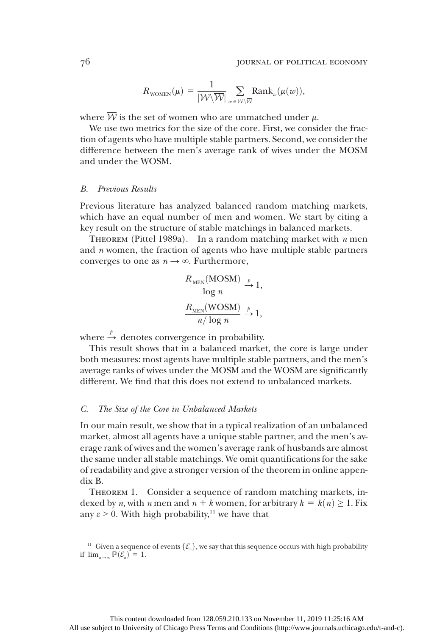$$
R_{\text{WOMEN}}(\mu) = \frac{1}{|\mathcal{W}\backslash \overline{\mathcal{W}}|} \sum_{w \in \mathcal{W}\backslash \overline{\mathcal{W}}} \text{Rank}_{w}(\mu(w)),
$$

where  $\overline{W}$  is the set of women who are unmatched under  $\mu$ .

We use two metrics for the size of the core. First, we consider the fraction of agents who have multiple stable partners. Second, we consider the difference between the men's average rank of wives under the MOSM and under the WOSM.

## B. Previous Results

Previous literature has analyzed balanced random matching markets, which have an equal number of men and women. We start by citing a key result on the structure of stable matchings in balanced markets.

THEOREM (Pittel 1989a). In a random matching market with  $n$  men and  $n$  women, the fraction of agents who have multiple stable partners converges to one as  $n \rightarrow \infty$ . Furthermore,

$$
\frac{R_{\text{MEN}}(\text{MOSM})}{\log n} \xrightarrow{p} 1,
$$
  

$$
\frac{R_{\text{MEN}}(\text{WOSM})}{n/\log n} \xrightarrow{p} 1,
$$

where  $\stackrel{p}{\rightarrow}$  denotes convergence in probability.

This result shows that in a balanced market, the core is large under both measures: most agents have multiple stable partners, and the men's average ranks of wives under the MOSM and the WOSM are significantly different. We find that this does not extend to unbalanced markets.

#### C. The Size of the Core in Unbalanced Markets

In our main result, we show that in a typical realization of an unbalanced market, almost all agents have a unique stable partner, and the men's average rank of wives and the women's average rank of husbands are almost the same under all stable matchings. We omit quantifications for the sake of readability and give a stronger version of the theorem in online appendix B.

Theorem 1. Consider a sequence of random matching markets, indexed by *n*, with *n* men and  $n + k$  women, for arbitrary  $k = k(n) \ge 1$ . Fix any  $\varepsilon > 0$ . With high probability,<sup>11</sup> we have that

<sup>&</sup>lt;sup>11</sup> Given a sequence of events  $\{\mathcal{E}_n\}$ , we say that this sequence occurs with high probability if  $\lim_{n\to\infty} \mathbb{P}(\mathcal{E}_n) = 1$ .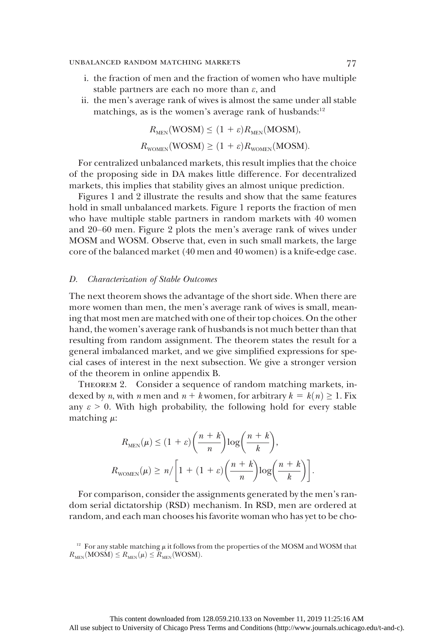## UNBALANCED RANDOM MATCHING MARKETS 77

- i. the fraction of men and the fraction of women who have multiple stable partners are each no more than  $\varepsilon$ , and
- ii. the men's average rank of wives is almost the same under all stable matchings, as is the women's average rank of husbands:<sup>12</sup>

$$
R_{\text{MEN}}(\text{WOSM}) \le (1 + \varepsilon) R_{\text{MEN}}(\text{MOSM}),
$$
  

$$
R_{\text{WOMEN}}(\text{WOSM}) \ge (1 + \varepsilon) R_{\text{WOMEN}}(\text{MOSM}).
$$

For centralized unbalanced markets, this result implies that the choice of the proposing side in DA makes little difference. For decentralized markets, this implies that stability gives an almost unique prediction.

Figures 1 and 2 illustrate the results and show that the same features hold in small unbalanced markets. Figure 1 reports the fraction of men who have multiple stable partners in random markets with 40 women and 20–60 men. Figure 2 plots the men's average rank of wives under MOSM and WOSM. Observe that, even in such small markets, the large core of the balanced market (40 men and 40 women) is a knife-edge case.

#### D. Characterization of Stable Outcomes

The next theorem shows the advantage of the short side. When there are more women than men, the men's average rank of wives is small, meaning that most men are matched with one of their top choices. On the other hand, the women's average rank of husbands is not much better than that resulting from random assignment. The theorem states the result for a general imbalanced market, and we give simplified expressions for special cases of interest in the next subsection. We give a stronger version of the theorem in online appendix B.

Theorem 2. Consider a sequence of random matching markets, indexed by *n*, with *n* men and  $n + k$  women, for arbitrary  $k = k(n) \ge 1$ . Fix any  $\varepsilon > 0$ . With high probability, the following hold for every stable matching  $\mu$ :

$$
R_{\text{MEN}}(\mu) \le (1 + \varepsilon) \left(\frac{n + k}{n}\right) \log\left(\frac{n + k}{k}\right),
$$
  

$$
R_{\text{WOMEN}}(\mu) \ge n / \left[1 + (1 + \varepsilon) \left(\frac{n + k}{n}\right) \log\left(\frac{n + k}{k}\right)\right].
$$

For comparison, consider the assignments generated by the men's random serial dictatorship (RSD) mechanism. In RSD, men are ordered at random, and each man chooses his favorite woman who has yet to be cho-

<sup>&</sup>lt;sup>12</sup> For any stable matching  $\mu$  it follows from the properties of the MOSM and WOSM that  $R_{\text{MEN}}(\text{MOSM}) \leq R_{\text{MEN}}(\mu) \leq R_{\text{MEN}}(\text{WOSM}).$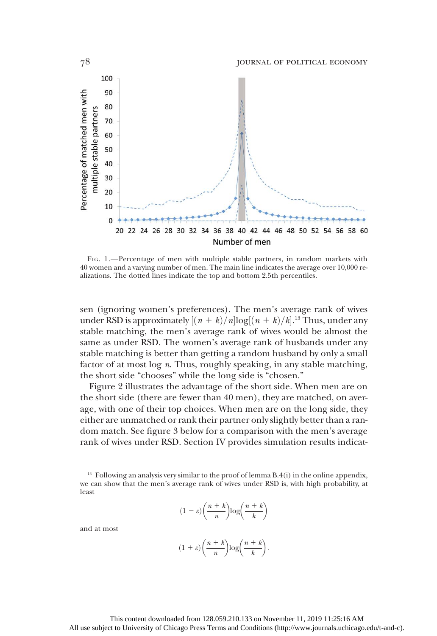

FIG. 1.—Percentage of men with multiple stable partners, in random markets with 40 women and a varying number of men. The main line indicates the average over 10,000 realizations. The dotted lines indicate the top and bottom 2.5th percentiles.

sen (ignoring women's preferences). The men's average rank of wives under RSD is approximately  $[(n + k)/n] \log [(n + k)/k]$ .<sup>13</sup> Thus, under any<br>stable matching, the men's average rank of wives would be almost the stable matching, the men's average rank of wives would be almost the same as under RSD. The women's average rank of husbands under any stable matching is better than getting a random husband by only a small factor of at most log *n*. Thus, roughly speaking, in any stable matching, the short side "chooses" while the long side is "chosen."

Figure 2 illustrates the advantage of the short side. When men are on the short side (there are fewer than 40 men), they are matched, on average, with one of their top choices. When men are on the long side, they either are unmatched or rank their partner only slightly better than a random match. See figure 3 below for a comparison with the men's average rank of wives under RSD. Section IV provides simulation results indicat-

$$
(1 - \varepsilon) \left(\frac{n + k}{n}\right) \log \left(\frac{n + k}{k}\right)
$$

and at most

$$
(1 + \varepsilon) \bigg( \frac{n + k}{n} \bigg) \log \bigg( \frac{n + k}{k} \bigg).
$$

 $13$  Following an analysis very similar to the proof of lemma B.4(i) in the online appendix, we can show that the men's average rank of wives under RSD is, with high probability, at least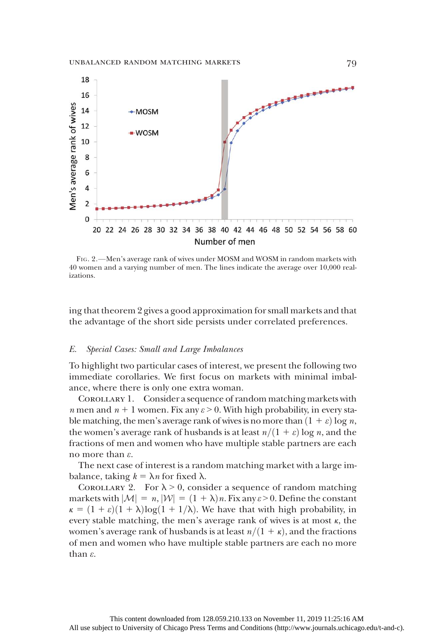

FIG. 2.—Men's average rank of wives under MOSM and WOSM in random markets with 40 women and a varying number of men. The lines indicate the average over 10,000 realizations.

ing that theorem 2 gives a good approximation for small markets and that the advantage of the short side persists under correlated preferences.

## E. Special Cases: Small and Large Imbalances

To highlight two particular cases of interest, we present the following two immediate corollaries. We first focus on markets with minimal imbalance, where there is only one extra woman.

Corollary 1. Consider a sequence of random matching markets with n men and  $n + 1$  women. Fix any  $\varepsilon > 0$ . With high probability, in every stable matching, the men's average rank of wives is no more than  $(1 + \varepsilon) \log n$ , the women's average rank of husbands is at least  $n/(1 + \varepsilon) \log n$ , and the fractions of men and women who have multiple stable partners are each no more than ε.

The next case of interest is a random matching market with a large imbalance, taking  $k = \lambda n$  for fixed  $\lambda$ .

COROLLARY 2. For  $\lambda > 0$ , consider a sequence of random matching markets with  $|\mathcal{M}| = n$ ,  $|\mathcal{W}| = (1 + \lambda)n$ . Fix any  $\varepsilon > 0$ . Define the constant  $\kappa = (1 + \varepsilon)(1 + \lambda)\log(1 + 1/\lambda)$ . We have that with high probability, in every stable matching, the men's average rank of wives is at most  $\kappa$ , the women's average rank of husbands is at least  $n/(1 + \kappa)$ , and the fractions of men and women who have multiple stable partners are each no more than ε.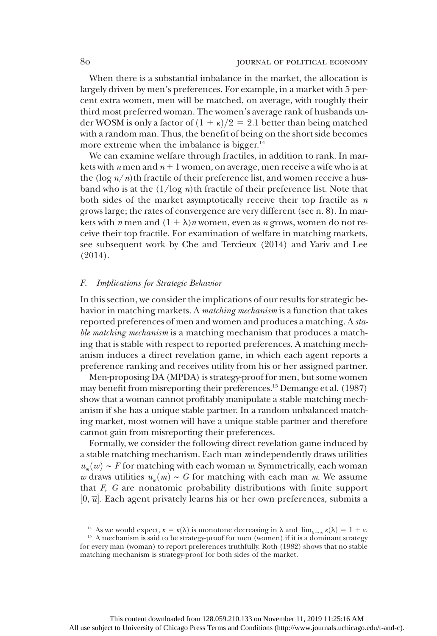When there is a substantial imbalance in the market, the allocation is largely driven by men's preferences. For example, in a market with 5 percent extra women, men will be matched, on average, with roughly their third most preferred woman. The women's average rank of husbands under WOSM is only a factor of  $(1 + \kappa)/2 = 2.1$  better than being matched with a random man. Thus, the benefit of being on the short side becomes more extreme when the imbalance is bigger.<sup>14</sup>

We can examine welfare through fractiles, in addition to rank. In markets with n men and  $n + 1$  women, on average, men receive a wife who is at the (log  $n/n$ )th fractile of their preference list, and women receive a husband who is at the  $(1/\log n)$ th fractile of their preference list. Note that both sides of the market asymptotically receive their top fractile as  $n$ grows large; the rates of convergence are very different (see n. 8). In markets with *n* men and  $(1 + \lambda)n$  women, even as *n* grows, women do not receive their top fractile. For examination of welfare in matching markets, see subsequent work by Che and Tercieux (2014) and Yariv and Lee (2014).

## F. Implications for Strategic Behavior

In this section, we consider the implications of our results for strategic behavior in matching markets. A *matching mechanism* is a function that takes reported preferences of men and women and produces a matching. A stable matching mechanism is a matching mechanism that produces a matching that is stable with respect to reported preferences. A matching mechanism induces a direct revelation game, in which each agent reports a preference ranking and receives utility from his or her assigned partner.

Men-proposing DA (MPDA) is strategy-proof for men, but some women may benefit from misreporting their preferences.<sup>15</sup> Demange et al. (1987) show that a woman cannot profitably manipulate a stable matching mechanism if she has a unique stable partner. In a random unbalanced matching market, most women will have a unique stable partner and therefore cannot gain from misreporting their preferences.

Formally, we consider the following direct revelation game induced by a stable matching mechanism. Each man m independently draws utilities  $u_m(w) \sim F$  for matching with each woman w. Symmetrically, each woman w draws utilities  $u_m(m) \sim G$  for matching with each man m. We assume that  $F$ ,  $G$  are nonatomic probability distributions with finite support  $[0, \overline{u}]$ . Each agent privately learns his or her own preferences, submits a

<sup>&</sup>lt;sup>14</sup> As we would expect,  $\kappa = \kappa(\lambda)$  is monotone decreasing in  $\lambda$  and  $\lim_{\lambda \to \infty} \kappa(\lambda) = 1 + \varepsilon$ .<br><sup>15</sup> A mechanism is said to be strategy-proof for men (women) if it is a dominant strategy for every man (woman) to report preferences truthfully. Roth (1982) shows that no stable matching mechanism is strategy-proof for both sides of the market.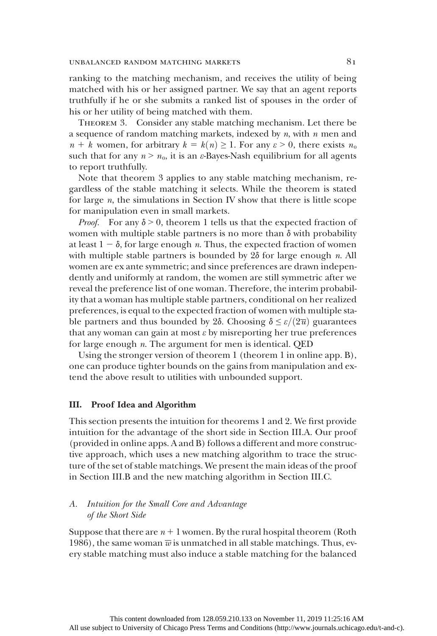## UNBALANCED RANDOM MATCHING MARKETS 81

ranking to the matching mechanism, and receives the utility of being matched with his or her assigned partner. We say that an agent reports truthfully if he or she submits a ranked list of spouses in the order of his or her utility of being matched with them.

Theorem 3. Consider any stable matching mechanism. Let there be a sequence of random matching markets, indexed by  $n$ , with  $n$  men and  $n + k$  women, for arbitrary  $k = k(n) \geq 1$ . For any  $\varepsilon > 0$ , there exists  $n_0$ such that for any  $n > n_0$ , it is an  $\varepsilon$ -Bayes-Nash equilibrium for all agents to report truthfully.

Note that theorem 3 applies to any stable matching mechanism, regardless of the stable matching it selects. While the theorem is stated for large  $n$ , the simulations in Section IV show that there is little scope for manipulation even in small markets.

*Proof.* For any  $\delta$  > 0, theorem 1 tells us that the expected fraction of women with multiple stable partners is no more than  $\delta$  with probability at least  $1 - \delta$ , for large enough *n*. Thus, the expected fraction of women with multiple stable partners is bounded by  $2\delta$  for large enough n. All women are ex ante symmetric; and since preferences are drawn independently and uniformly at random, the women are still symmetric after we reveal the preference list of one woman. Therefore, the interim probability that a woman has multiple stable partners, conditional on her realized preferences, is equal to the expected fraction of women with multiple stable partners and thus bounded by 2 $\delta$ . Choosing  $\delta \leq \varepsilon/(2\overline{u})$  guarantees that any woman can gain at most  $\varepsilon$  by misreporting her true preferences for large enough n. The argument for men is identical. QED

Using the stronger version of theorem 1 (theorem 1 in online app. B), one can produce tighter bounds on the gains from manipulation and extend the above result to utilities with unbounded support.

#### III. Proof Idea and Algorithm

This section presents the intuition for theorems 1 and 2. We first provide intuition for the advantage of the short side in Section III.A. Our proof (provided in online apps. A and B) follows a different and more constructive approach, which uses a new matching algorithm to trace the structure of the set of stable matchings. We present the main ideas of the proof in Section III.B and the new matching algorithm in Section III.C.

# A. Intuition for the Small Core and Advantage of the Short Side

Suppose that there are  $n + 1$  women. By the rural hospital theorem (Roth 1986), the same woman  $\overline{w}$  is unmatched in all stable matchings. Thus, every stable matching must also induce a stable matching for the balanced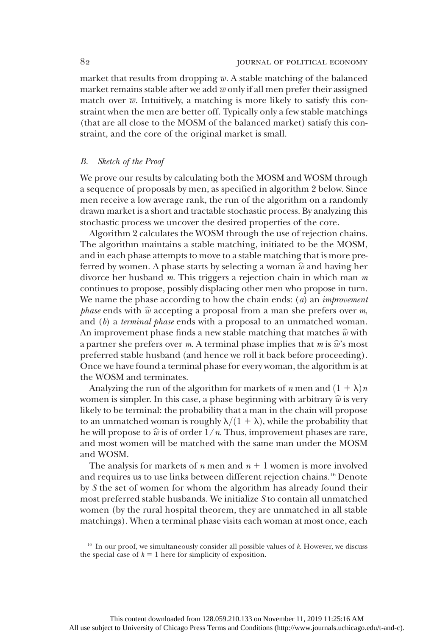market that results from dropping  $\overline{w}$ . A stable matching of the balanced market remains stable after we add  $\overline{w}$  only if all men prefer their assigned match over  $\overline{w}$ . Intuitively, a matching is more likely to satisfy this constraint when the men are better off. Typically only a few stable matchings (that are all close to the MOSM of the balanced market) satisfy this constraint, and the core of the original market is small.

## B. Sketch of the Proof

We prove our results by calculating both the MOSM and WOSM through a sequence of proposals by men, as specified in algorithm 2 below. Since men receive a low average rank, the run of the algorithm on a randomly drawn market is a short and tractable stochastic process. By analyzing this stochastic process we uncover the desired properties of the core.

Algorithm 2 calculates the WOSM through the use of rejection chains. The algorithm maintains a stable matching, initiated to be the MOSM, and in each phase attempts to move to a stable matching that is more preferred by women. A phase starts by selecting a woman  $\hat{w}$  and having her divorce her husband  $m$ . This triggers a rejection chain in which man  $m$ continues to propose, possibly displacing other men who propose in turn. We name the phase according to how the chain ends:  $(a)$  an *improvement phase* ends with  $\hat{w}$  accepting a proposal from a man she prefers over m, and (b) a *terminal phase* ends with a proposal to an unmatched woman. An improvement phase finds a new stable matching that matches  $\hat{w}$  with a partner she prefers over m. A terminal phase implies that m is  $\hat{w}$ 's most preferred stable husband (and hence we roll it back before proceeding). Once we have found a terminal phase for every woman, the algorithm is at the WOSM and terminates.

Analyzing the run of the algorithm for markets of n men and  $(1 + \lambda)n$ women is simpler. In this case, a phase beginning with arbitrary  $\hat{w}$  is very likely to be terminal: the probability that a man in the chain will propose to an unmatched woman is roughly  $\lambda/(1 + \lambda)$ , while the probability that he will propose to  $\hat{w}$  is of order  $1/n$ . Thus, improvement phases are rare, and most women will be matched with the same man under the MOSM and WOSM.

The analysis for markets of  $n$  men and  $n + 1$  women is more involved and requires us to use links between different rejection chains.16 Denote by S the set of women for whom the algorithm has already found their most preferred stable husbands. We initialize S to contain all unmatched women (by the rural hospital theorem, they are unmatched in all stable matchings). When a terminal phase visits each woman at most once, each

 $16$  In our proof, we simultaneously consider all possible values of k. However, we discuss the special case of  $k = 1$  here for simplicity of exposition.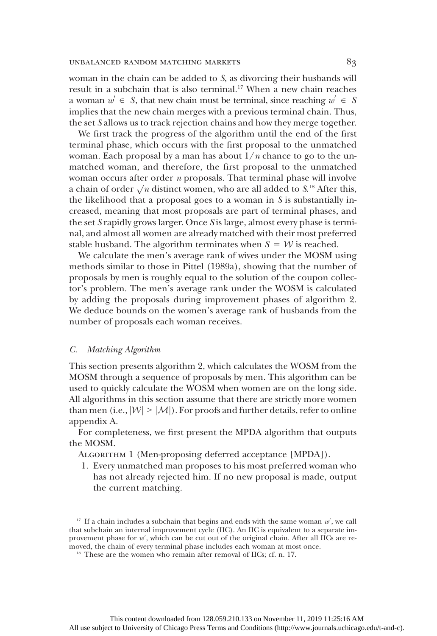woman in the chain can be added to S, as divorcing their husbands will result in a subchain that is also terminal.17 When a new chain reaches a woman  $w' \in S$ , that new chain must be terminal, since reaching  $w' \in S$ implies that the new chain merges with a previous terminal chain. Thus, the set S allows us to track rejection chains and how they merge together.

We first track the progress of the algorithm until the end of the first terminal phase, which occurs with the first proposal to the unmatched woman. Each proposal by a man has about  $1/n$  chance to go to the unmatched woman, and therefore, the first proposal to the unmatched woman occurs after order  $n$  proposals. That terminal phase will involve a chain of order  $\sqrt{n}$  distinct women, who are all added to S. $^{18}$  After this, the likelihood that a proposal goes to a woman in  $S$  is substantially increased, meaning that most proposals are part of terminal phases, and the set S rapidly grows larger. Once S is large, almost every phase is terminal, and almost all women are already matched with their most preferred stable husband. The algorithm terminates when  $S = W$  is reached.

We calculate the men's average rank of wives under the MOSM using methods similar to those in Pittel (1989a), showing that the number of proposals by men is roughly equal to the solution of the coupon collector's problem. The men's average rank under the WOSM is calculated by adding the proposals during improvement phases of algorithm 2. We deduce bounds on the women's average rank of husbands from the number of proposals each woman receives.

## C. Matching Algorithm

This section presents algorithm 2, which calculates the WOSM from the MOSM through a sequence of proposals by men. This algorithm can be used to quickly calculate the WOSM when women are on the long side. All algorithms in this section assume that there are strictly more women than men (i.e.,  $|W| > |M|$ ). For proofs and further details, refer to online appendix A.

For completeness, we first present the MPDA algorithm that outputs the MOSM.

ALGORITHM 1 (Men-proposing deferred acceptance [MPDA]).

1. Every unmatched man proposes to his most preferred woman who has not already rejected him. If no new proposal is made, output the current matching.

<sup>&</sup>lt;sup>17</sup> If a chain includes a subchain that begins and ends with the same woman  $w'$ , we call that subchain an internal improvement cycle (IIC). An IIC is equivalent to a separate improvement phase for  $w'$ , which can be cut out of the original chain. After all IICs are removed, the chain of every terminal phase includes each woman at most once.

<sup>&</sup>lt;sup>18</sup> These are the women who remain after removal of IICs; cf. n. 17.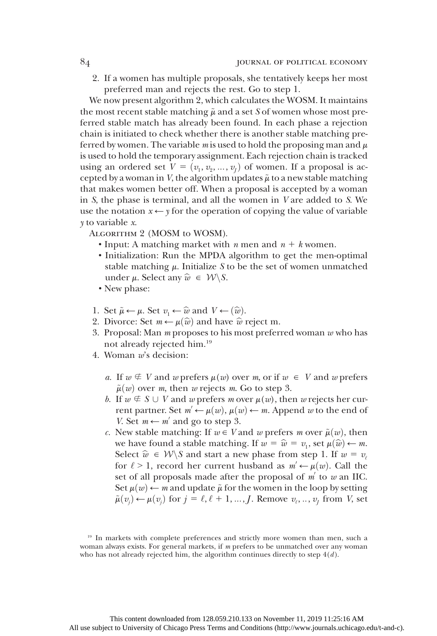2. If a women has multiple proposals, she tentatively keeps her most preferred man and rejects the rest. Go to step 1.

We now present algorithm 2, which calculates the WOSM. It maintains the most recent stable matching  $\tilde{\mu}$  and a set S of women whose most preferred stable match has already been found. In each phase a rejection chain is initiated to check whether there is another stable matching preferred by women. The variable m is used to hold the proposing man and  $\mu$ is used to hold the temporary assignment. Each rejection chain is tracked using an ordered set  $V = (v_1, v_2, ..., v_l)$  of women. If a proposal is accepted by a woman in V, the algorithm updates  $\tilde{\mu}$  to a new stable matching that makes women better off. When a proposal is accepted by a woman in S, the phase is terminal, and all the women in V are added to S. We use the notation  $x \leftarrow y$  for the operation of copying the value of variable y to variable x.

Algorithm 2 (MOSM to WOSM).

- Input: A matching market with *n* men and  $n + k$  women.
- Initialization: Run the MPDA algorithm to get the men-optimal stable matching  $\mu$ . Initialize S to be the set of women unmatched under  $\mu$ . Select any  $\hat{w} \in \mathcal{W} \backslash S$ .
- New phase:
- 1. Set  $\tilde{\mu} \leftarrow \mu$ . Set  $v_1 \leftarrow \hat{w}$  and  $V \leftarrow (\hat{w})$ .
- 2. Divorce: Set  $m \leftarrow \mu(\widehat{w})$  and have  $\widehat{w}$  reject m.
- 3. Proposal: Man  $m$  proposes to his most preferred woman  $w$  who has not already rejected him.19
- 4. Woman w's decision:
	- a. If  $w \notin V$  and w prefers  $\mu(w)$  over m, or if  $w \in V$  and w prefers  $\tilde{\mu}(w)$  over m, then w rejects m. Go to step 3.
	- b. If  $w \notin S \cup V$  and w prefers m over  $\mu(w)$ , then w rejects her current partner. Set  $m' \leftarrow \mu(w), \mu(w) \leftarrow m$ . Append w to the end of <br>V Set  $m \leftarrow m'$  and so to step 3 V. Set  $m \leftarrow m'$  and go to step 3.
	- c. New stable matching: If  $w \in V$  and w prefers m over  $\tilde{\mu}(w)$ , then we have found a stable matching. If  $w = \hat{w} = v_1$ , set  $\mu(\hat{w}) \leftarrow m$ . Select  $\hat{w} \in W \setminus S$  and start a new phase from step 1. If  $w = v_i$ for  $\ell > 1$ , record her current husband as  $m' \leftarrow \mu(w)$ . Call the set of all proposals made after the proposal of m' to zuan IIC. set of all proposals made after the proposal of  $m'$  to w an IIC. Set  $\mu(w) \leftarrow m$  and update  $\tilde{\mu}$  for the women in the loop by setting  $\tilde{\mu}(v_j) \leftarrow \mu(v_j)$  for  $j = \ell, \ell + 1, ..., J$ . Remove  $v_\ell, ..., v_J$  from *V*, set

<sup>&</sup>lt;sup>19</sup> In markets with complete preferences and strictly more women than men, such a woman always exists. For general markets, if m prefers to be unmatched over any woman who has not already rejected him, the algorithm continues directly to step  $4(d)$ .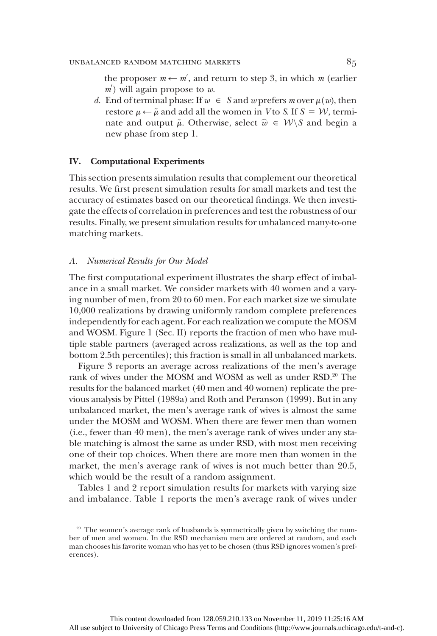the proposer  $m \leftarrow m'$ , and return to step 3, in which m (earlier  $m'$ ) will again propose to w.

d. End of terminal phase: If  $w \in S$  and w prefers m over  $\mu(w)$ , then restore  $\mu \leftarrow \tilde{\mu}$  and add all the women in V to S. If  $S = \mathcal{W}$ , terminate and output  $\tilde{\mu}$ . Otherwise, select  $\hat{w} \in \mathcal{W}\backslash S$  and begin a new phase from step 1.

# IV. Computational Experiments

This section presents simulation results that complement our theoretical results. We first present simulation results for small markets and test the accuracy of estimates based on our theoretical findings. We then investigate the effects of correlation in preferences and test the robustness of our results. Finally, we present simulation results for unbalanced many-to-one matching markets.

# A. Numerical Results for Our Model

The first computational experiment illustrates the sharp effect of imbalance in a small market. We consider markets with 40 women and a varying number of men, from 20 to 60 men. For each market size we simulate 10,000 realizations by drawing uniformly random complete preferences independently for each agent. For each realization we compute the MOSM and WOSM. Figure 1 (Sec. II) reports the fraction of men who have multiple stable partners (averaged across realizations, as well as the top and bottom 2.5th percentiles); this fraction is small in all unbalanced markets.

Figure 3 reports an average across realizations of the men's average rank of wives under the MOSM and WOSM as well as under RSD.<sup>20</sup> The results for the balanced market (40 men and 40 women) replicate the previous analysis by Pittel (1989a) and Roth and Peranson (1999). But in any unbalanced market, the men's average rank of wives is almost the same under the MOSM and WOSM. When there are fewer men than women (i.e., fewer than 40 men), the men's average rank of wives under any stable matching is almost the same as under RSD, with most men receiving one of their top choices. When there are more men than women in the market, the men's average rank of wives is not much better than 20.5, which would be the result of a random assignment.

Tables 1 and 2 report simulation results for markets with varying size and imbalance. Table 1 reports the men's average rank of wives under

<sup>&</sup>lt;sup>20</sup> The women's average rank of husbands is symmetrically given by switching the number of men and women. In the RSD mechanism men are ordered at random, and each man chooses his favorite woman who has yet to be chosen (thus RSD ignores women's preferences).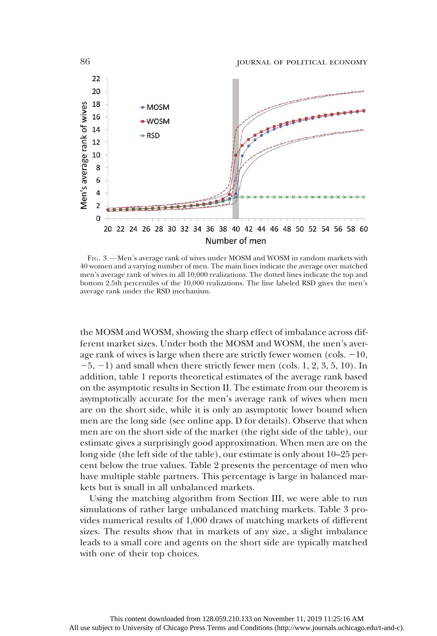

FIG. 3.—Men's average rank of wives under MOSM and WOSM in random markets with 40 women and a varying number of men. The main lines indicate the average over matched men's average rank of wives in all 10,000 realizations. The dotted lines indicate the top and bottom 2.5th percentiles of the 10,000 realizations. The line labeled RSD gives the men's average rank under the RSD mechanism.

the MOSM and WOSM, showing the sharp effect of imbalance across different market sizes. Under both the MOSM and WOSM, the men's average rank of wives is large when there are strictly fewer women (cols.  $-10$ ,  $-5, -1$ ) and small when there strictly fewer men (cols. 1, 2, 3, 5, 10). In addition, table 1 reports theoretical estimates of the average rank based on the asymptotic results in Section II. The estimate from our theorem is asymptotically accurate for the men's average rank of wives when men are on the short side, while it is only an asymptotic lower bound when men are the long side (see online app. D for details). Observe that when men are on the short side of the market (the right side of the table), our estimate gives a surprisingly good approximation. When men are on the long side (the left side of the table), our estimate is only about 10–25 percent below the true values. Table 2 presents the percentage of men who have multiple stable partners. This percentage is large in balanced markets but is small in all unbalanced markets.

Using the matching algorithm from Section III, we were able to run simulations of rather large unbalanced matching markets. Table 3 provides numerical results of 1,000 draws of matching markets of different sizes. The results show that in markets of any size, a slight imbalance leads to a small core and agents on the short side are typically matched with one of their top choices.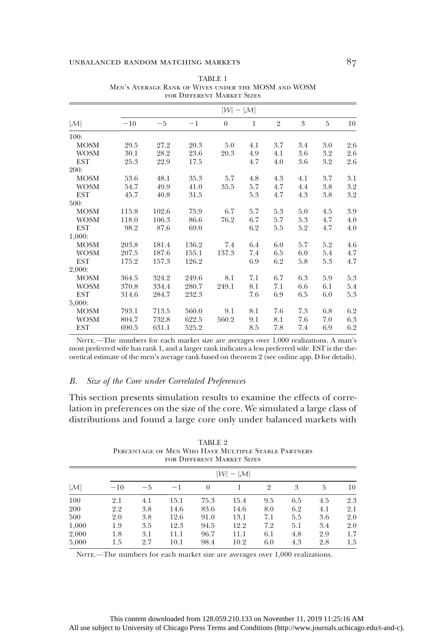|                 |       |       |         | $ \mathcal{W}  -  \mathcal{M} $ |     |                |     |     |     |
|-----------------|-------|-------|---------|---------------------------------|-----|----------------|-----|-----|-----|
| $ \mathcal{M} $ | $-10$ | $-5$  | $^{-1}$ | $\theta$                        | 1   | $\overline{2}$ | 3   | 5   | 10  |
| 100:            |       |       |         |                                 |     |                |     |     |     |
| <b>MOSM</b>     | 29.5  | 27.2  | 20.3    | 5.0                             | 4.1 | 3.7            | 3.4 | 3.0 | 2.6 |
| <b>WOSM</b>     | 30.1  | 28.2  | 23.6    | 20.3                            | 4.9 | 4.1            | 3.6 | 3.2 | 2.6 |
| <b>EST</b>      | 25.3  | 22.9  | 17.5    |                                 | 4.7 | 4.0            | 3.6 | 3.2 | 2.6 |
| 200:            |       |       |         |                                 |     |                |     |     |     |
| <b>MOSM</b>     | 53.6  | 48.1  | 35.3    | 5.7                             | 4.8 | 4.3            | 4.1 | 3.7 | 3.1 |
| <b>WOSM</b>     | 54.7  | 49.9  | 41.0    | 35.5                            | 5.7 | 4.7            | 4.4 | 3.8 | 3.2 |
| <b>EST</b>      | 45.7  | 40.8  | 31.5    |                                 | 5.3 | 4.7            | 4.3 | 3.8 | 3.2 |
| 500:            |       |       |         |                                 |     |                |     |     |     |
| <b>MOSM</b>     | 115.8 | 102.6 | 75.9    | 6.7                             | 5.7 | 5.3            | 5.0 | 4.5 | 3.9 |
| <b>WOSM</b>     | 118.0 | 106.3 | 86.6    | 76.2                            | 6.7 | 5.7            | 5.3 | 4.7 | 4.0 |
| <b>EST</b>      | 98.2  | 87.6  | 69.0    |                                 | 6.2 | 5.5            | 5.2 | 4.7 | 4.0 |
| 1,000:          |       |       |         |                                 |     |                |     |     |     |
| <b>MOSM</b>     | 203.8 | 181.4 | 136.2   | 7.4                             | 6.4 | 6.0            | 5.7 | 5.2 | 4.6 |
| <b>WOSM</b>     | 207.5 | 187.6 | 155.1   | 137.3                           | 7.4 | 6.5            | 6.0 | 5.4 | 4.7 |
| <b>EST</b>      | 175.2 | 157.3 | 126.2   |                                 | 6.9 | 6.2            | 5.8 | 5.3 | 4.7 |
| 2,000:          |       |       |         |                                 |     |                |     |     |     |
| <b>MOSM</b>     | 364.5 | 324.2 | 249.6   | 8.1                             | 7.1 | 6.7            | 6.3 | 5.9 | 5.3 |
| <b>WOSM</b>     | 370.8 | 334.4 | 280.7   | 249.1                           | 8.1 | 7.1            | 6.6 | 6.1 | 5.4 |
| <b>EST</b>      | 314.6 | 284.7 | 232.3   |                                 | 7.6 | 6.9            | 6.5 | 6.0 | 5.3 |
| 5,000:          |       |       |         |                                 |     |                |     |     |     |
| <b>MOSM</b>     | 793.1 | 713.5 | 560.0   | 9.1                             | 8.1 | 7.6            | 7.3 | 6.8 | 6.2 |
| <b>WOSM</b>     | 804.7 | 732.8 | 622.5   | 560.2                           | 9.1 | 8.1            | 7.6 | 7.0 | 6.3 |
| <b>EST</b>      | 690.5 | 631.1 | 525.2   |                                 | 8.5 | 7.8            | 7.4 | 6.9 | 6.2 |

| TABLE 1                                             |
|-----------------------------------------------------|
| MEN'S AVERAGE RANK OF WIVES UNDER THE MOSM AND WOSM |
| FOR DIFFERENT MARKET SIZES                          |

NOTE.—The numbers for each market size are averages over 1,000 realizations. A man's most preferred wife has rank 1, and a larger rank indicates a less preferred wife. EST is the theoretical estimate of the men's average rank based on theorem 2 (see online app. D for details).

# B. Size of the Core under Correlated Preferences

This section presents simulation results to examine the effects of correlation in preferences on the size of the core. We simulated a large class of distributions and found a large core only under balanced markets with

|       |       |      | PERCENTAGE OF MEN WHO HAVE MULTIPLE STABLE PARTNERS | FOR DIFFERENT MARKET SIZES |                                   |                |     |     |     |  |  |  |  |  |  |  |
|-------|-------|------|-----------------------------------------------------|----------------------------|-----------------------------------|----------------|-----|-----|-----|--|--|--|--|--|--|--|
|       |       |      |                                                     |                            | $ \mathcal{M} $<br>${\cal W}$ $-$ |                |     |     |     |  |  |  |  |  |  |  |
| M     | $-10$ | $-5$ | -1                                                  | $\Omega$                   |                                   | $\overline{2}$ | 3   | 5   | 10  |  |  |  |  |  |  |  |
| 100   | 2.1   | 4.1  | 15.1                                                | 75.3                       | 15.4                              | 9.5            | 6.5 | 4.5 | 2.3 |  |  |  |  |  |  |  |
| 200   | 2.2   | 3.8  | 14.6                                                | 83.6                       | 14.6                              | 8.0            | 6.2 | 4.1 | 2.1 |  |  |  |  |  |  |  |
| 500   | 2.0   | 3.8  | 12.6                                                | 91.0                       | 13.1                              | 7.1            | 5.5 | 3.6 | 2.0 |  |  |  |  |  |  |  |
| 1,000 | 1.9   | 3.5  | 12.3                                                | 94.5                       | 12.2                              | 7.2            | 5.1 | 3.4 | 2.0 |  |  |  |  |  |  |  |
| 2,000 | 1.8   | 3.1  | 11.1                                                | 96.7                       | 11.1                              | 6.1            | 4.8 | 2.9 | 1.7 |  |  |  |  |  |  |  |
| 5,000 | 1.5   | 2.7  | $10.1\,$                                            | 98.4                       | 10.2                              | 6.0            | 4.3 | 2.8 | 1.5 |  |  |  |  |  |  |  |

TABLE 2 Percentage of Men Who Have Multiple Stable Partners

NOTE.—The numbers for each market size are averages over 1,000 realizations.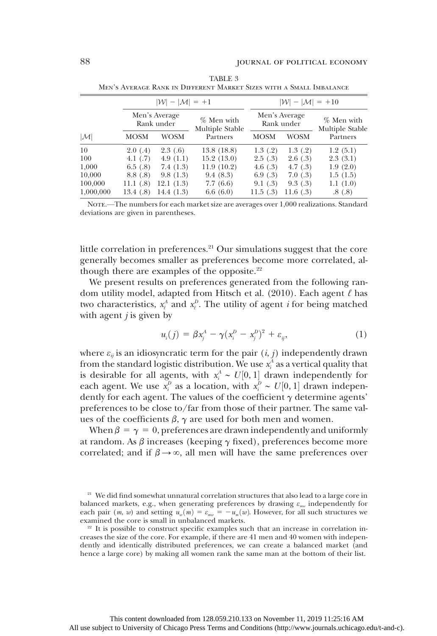|                 |             | $ W  -  M  = +1$            |                               | $ \mathcal{W}  -  \mathcal{M}  = +10$ |                             |                               |  |
|-----------------|-------------|-----------------------------|-------------------------------|---------------------------------------|-----------------------------|-------------------------------|--|
|                 |             | Men's Average<br>Rank under | % Men with<br>Multiple Stable |                                       | Men's Average<br>Rank under | % Men with<br>Multiple Stable |  |
| $ \mathcal{M} $ | <b>MOSM</b> | WOSM                        | Partners                      | <b>MOSM</b>                           | <b>WOSM</b>                 | Partners                      |  |
| 10              | 2.0(0.4)    | 2.3(6)                      | 13.8 (18.8)                   | 1.3(0.2)                              | 1.3(0.2)                    | 1.2(5.1)                      |  |
| 100             | 4.1(0.7)    | 4.9(1.1)                    | 15.2(13.0)                    | 2.5(.3)                               | 2.6(.3)                     | 2.3(3.1)                      |  |
| 1,000           | 6.5(.8)     | 7.4(1.3)                    | 11.9(10.2)                    | 4.6(.3)                               | 4.7(.3)                     | 1.9(2.0)                      |  |
| 10,000          | 8.8(.8)     | 9.8(1.3)                    | 9.4(8.3)                      | 6.9(0.3)                              | 7.0(0.3)                    | 1.5(1.5)                      |  |
| 100,000         | 11.1(0.8)   | 12.1(1.3)                   | 7.7(6.6)                      | 9.1(.3)                               | 9.3(.3)                     | 1.1(1.0)                      |  |
| 1,000,000       | 13.4(0.8)   | 14.4(1.3)                   | 6.6(6.0)                      | 11.5(0.3)                             | 11.6(.3)                    | .8(0.8)                       |  |

TABLE 3 Men's Average Rank in Different Market Sizes with a Small Imbalance

NOTE.—The numbers for each market size are averages over 1,000 realizations. Standard deviations are given in parentheses.

little correlation in preferences.<sup>21</sup> Our simulations suggest that the core generally becomes smaller as preferences become more correlated, although there are examples of the opposite.<sup>22</sup>

We present results on preferences generated from the following random utility model, adapted from Hitsch et al. (2010). Each agent  $\ell$  has two characteristics,  $x_i^A$  and  $x_i^D$ . The utility of agent *i* for being matched with agent  $j$  is given by

$$
u_i(j) = \beta x_j^A - \gamma (x_i^D - x_j^D)^2 + \varepsilon_{ij}, \qquad (1)
$$

where  $\varepsilon_{ii}$  is an idiosyncratic term for the pair  $(i, j)$  independently drawn from the standard logistic distribution. We use  $x_i^A$  as a vertical quality that is desirable for all agents, with  $x_i^A \sim U[0, 1]$  drawn independently for<br>each agent. We use  $x^P$  as a location, with  $x^P \sim U[0, 1]$  drawn independent each agent. We use  $x_i^D$  as a location, with  $x_i^D \sim U[0, 1]$  drawn independently for each agent. The values of the coefficient  $\alpha$  determine agents' dently for each agent. The values of the coefficient  $\gamma$  determine agents' preferences to be close to/far from those of their partner. The same values of the coefficients  $\beta$ ,  $\gamma$  are used for both men and women.

When  $\beta = \gamma = 0$ , preferences are drawn independently and uniformly at random. As  $\beta$  increases (keeping  $\gamma$  fixed), preferences become more correlated; and if  $\beta \rightarrow \infty$ , all men will have the same preferences over

<sup>22</sup> It is possible to construct specific examples such that an increase in correlation increases the size of the core. For example, if there are 41 men and 40 women with independently and identically distributed preferences, we can create a balanced market (and hence a large core) by making all women rank the same man at the bottom of their list.

<sup>&</sup>lt;sup>21</sup> We did find somewhat unnatural correlation structures that also lead to a large core in balanced markets, e.g., when generating preferences by drawing  $\varepsilon_{mw}$  independently for each pair  $(m, w)$  and setting  $u_w(m) = \varepsilon_{mw} = -u_w(w)$ . However, for all such structures we examined the core is small in unbalanced markets.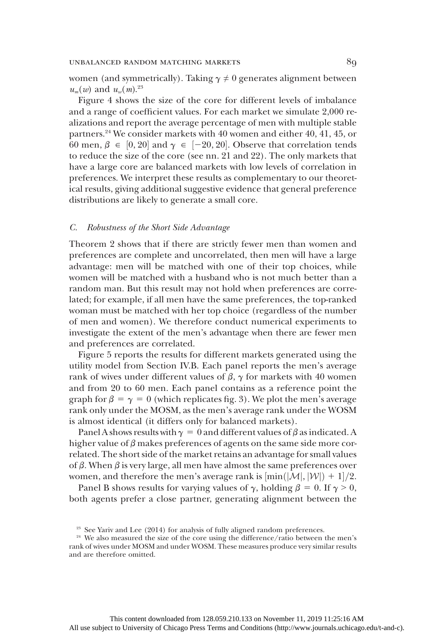## unbalanced random matching markets 89

women (and symmetrically). Taking  $\gamma \neq 0$  generates alignment between  $u_m(w)$  and  $u_w(m)$ .<sup>23</sup>

Figure 4 shows the size of the core for different levels of imbalance and a range of coefficient values. For each market we simulate 2,000 realizations and report the average percentage of men with multiple stable partners.<sup>24</sup> We consider markets with 40 women and either 40, 41, 45, or 60 men,  $\beta \in [0, 20]$  and  $\gamma \in [-20, 20]$ . Observe that correlation tends to reduce the size of the core (see nn. 21 and 22). The only markets that have a large core are balanced markets with low levels of correlation in preferences. We interpret these results as complementary to our theoretical results, giving additional suggestive evidence that general preference distributions are likely to generate a small core.

# C. Robustness of the Short Side Advantage

Theorem 2 shows that if there are strictly fewer men than women and preferences are complete and uncorrelated, then men will have a large advantage: men will be matched with one of their top choices, while women will be matched with a husband who is not much better than a random man. But this result may not hold when preferences are correlated; for example, if all men have the same preferences, the top-ranked woman must be matched with her top choice (regardless of the number of men and women). We therefore conduct numerical experiments to investigate the extent of the men's advantage when there are fewer men and preferences are correlated.

Figure 5 reports the results for different markets generated using the utility model from Section IV.B. Each panel reports the men's average rank of wives under different values of  $\beta$ ,  $\gamma$  for markets with 40 women and from 20 to 60 men. Each panel contains as a reference point the graph for  $\beta = \gamma = 0$  (which replicates fig. 3). We plot the men's average rank only under the MOSM, as the men's average rank under the WOSM is almost identical (it differs only for balanced markets).

Panel A shows results with  $\gamma = 0$  and different values of  $\beta$  as indicated. A higher value of  $\beta$  makes preferences of agents on the same side more correlated. The short side of the market retains an advantage for small values of  $\beta$ . When  $\beta$  is very large, all men have almost the same preferences over women, and therefore the men's average rank is  $[\min(|\mathcal{M}|, |\mathcal{W}|) + 1]/2$ .

Panel B shows results for varying values of  $\gamma$ , holding  $\beta = 0$ . If  $\gamma > 0$ , both agents prefer a close partner, generating alignment between the

<sup>&</sup>lt;sup>23</sup> See Yariv and Lee (2014) for analysis of fully aligned random preferences.

<sup>&</sup>lt;sup>24</sup> We also measured the size of the core using the difference/ratio between the men's rank of wives under MOSM and under WOSM. These measures produce very similar results and are therefore omitted.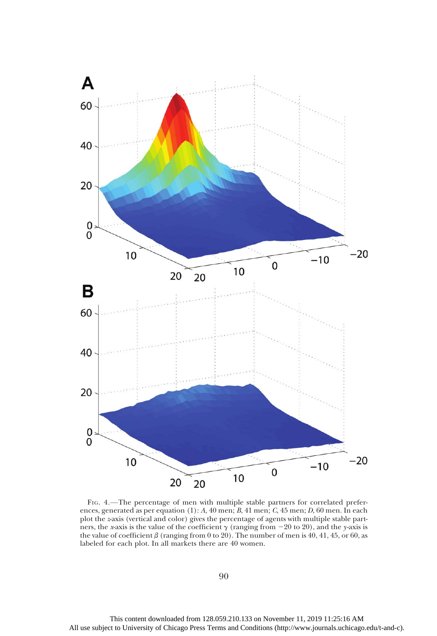

FIG. 4.—The percentage of men with multiple stable partners for correlated preferences, generated as per equation (1): A, 40 men; B, 41 men; C, 45 men; D, 60 men. In each plot the z-axis (vertical and color) gives the percentage of agents with multiple stable partners, the x-axis is the value of the coefficient  $\gamma$  (ranging from -20 to 20), and the y-axis is the value of coefficient  $\beta$  (ranging from 0 to 20). The number of men is 40, 41, 45, or 60, as labeled for each plot. In all markets there are 40 women.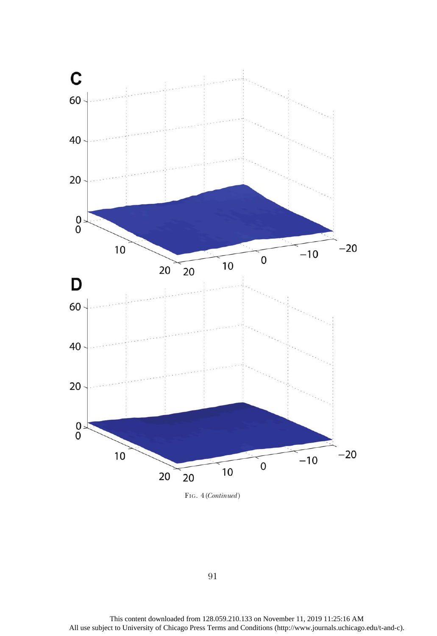

FIG. 4(Continued)

This content downloaded from 128.059.210.133 on November 11, 2019 11:25:16 AM All use subject to University of Chicago Press Terms and Conditions (http://www.journals.uchicago.edu/t-and-c).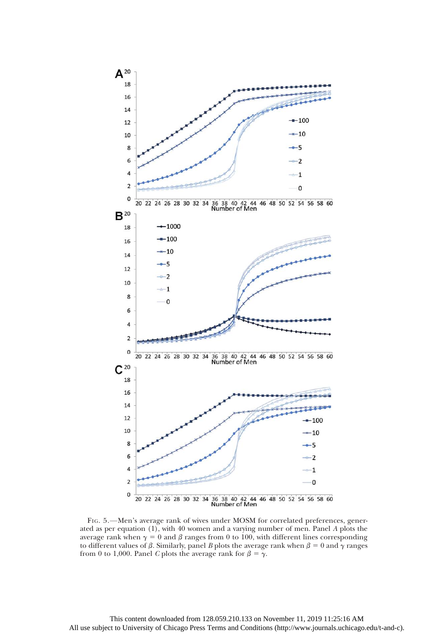

FIG. 5.—Men's average rank of wives under MOSM for correlated preferences, generated as per equation (1), with 40 women and a varying number of men. Panel A plots the average rank when  $\gamma = 0$  and  $\beta$  ranges from 0 to 100, with different lines corresponding to different values of  $\beta$ . Similarly, panel B plots the average rank when  $\beta = 0$  and  $\gamma$  ranges from 0 to 1,000. Panel C plots the average rank for  $\beta = \gamma$ .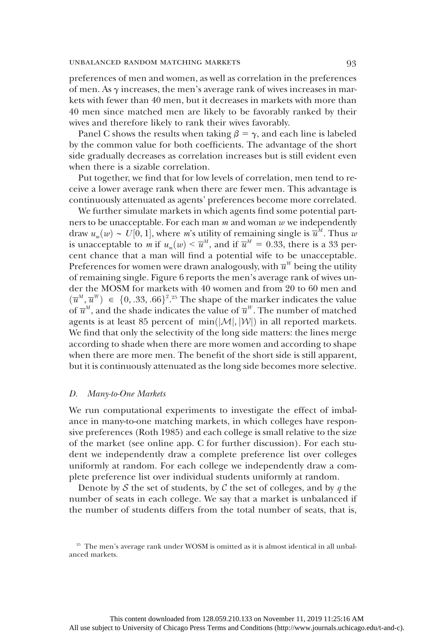## unbalanced random matching markets 93

preferences of men and women, as well as correlation in the preferences of men. As  $\gamma$  increases, the men's average rank of wives increases in markets with fewer than 40 men, but it decreases in markets with more than 40 men since matched men are likely to be favorably ranked by their wives and therefore likely to rank their wives favorably.

Panel C shows the results when taking  $\beta = \gamma$ , and each line is labeled by the common value for both coefficients. The advantage of the short side gradually decreases as correlation increases but is still evident even when there is a sizable correlation.

Put together, we find that for low levels of correlation, men tend to receive a lower average rank when there are fewer men. This advantage is continuously attenuated as agents' preferences become more correlated.

We further simulate markets in which agents find some potential partners to be unacceptable. For each man  $m$  and woman  $w$  we independently draw  $u_m(w) \sim U[0, 1]$ , where m's utility of remaining single is  $\overline{u}^M$ . Thus w is unacceptable to m if  $u_m(w) \leq \overline{u}^M$ , and if  $\overline{u}^M = 0.33$ , there is a 33 percent chance that a man will find a potential wife to be unacceptable. Preferences for women were drawn analogously, with  $\overline{u}^W$  being the utility of remaining single. Figure 6 reports the men's average rank of wives under the MOSM for markets with 40 women and from 20 to 60 men and  $(\overline{u}^M, \overline{u}^W) \in \{0, .33, .66\}^{2.25}$  The shape of the marker indicates the value<br>of  $\overline{x}^M$  and the shade indicates the value of  $\overline{x}^W$ . The number of matched of  $\overline{u}^M$ , and the shade indicates the value of  $\overline{u}^W$ . The number of matched agents is at least 85 percent of min( $|M|, |W|$ ) in all reported markets. We find that only the selectivity of the long side matters: the lines merge according to shade when there are more women and according to shape when there are more men. The benefit of the short side is still apparent, but it is continuously attenuated as the long side becomes more selective.

#### D. Many-to-One Markets

We run computational experiments to investigate the effect of imbalance in many-to-one matching markets, in which colleges have responsive preferences (Roth 1985) and each college is small relative to the size of the market (see online app. C for further discussion). For each student we independently draw a complete preference list over colleges uniformly at random. For each college we independently draw a complete preference list over individual students uniformly at random.

Denote by S the set of students, by C the set of colleges, and by q the number of seats in each college. We say that a market is unbalanced if the number of students differs from the total number of seats, that is,

<sup>&</sup>lt;sup>25</sup> The men's average rank under WOSM is omitted as it is almost identical in all unbalanced markets.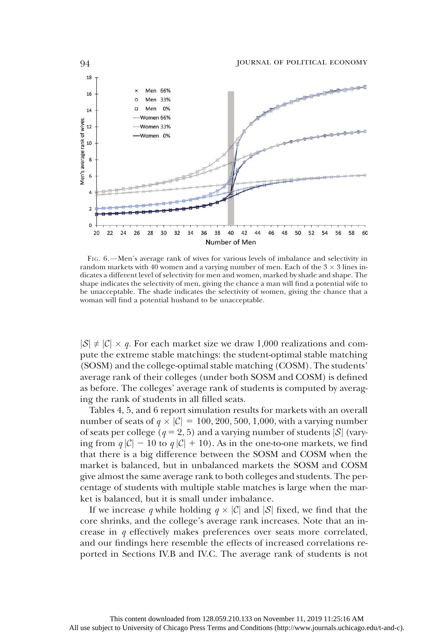

FIG. 6.—Men's average rank of wives for various levels of imbalance and selectivity in random markets with 40 women and a varying number of men. Each of the  $3 \times 3$  lines indicates a different level of selectivity for men and women, marked by shade and shape. The shape indicates the selectivity of men, giving the chance a man will find a potential wife to be unacceptable. The shade indicates the selectivity of women, giving the chance that a woman will find a potential husband to be unacceptable.

 $|S| \neq |C| \times q$ . For each market size we draw 1,000 realizations and compute the extreme stable matchings: the student-optimal stable matching (SOSM) and the college-optimal stable matching (COSM). The students' average rank of their colleges (under both SOSM and COSM) is defined as before. The colleges' average rank of students is computed by averaging the rank of students in all filled seats.

Tables 4, 5, and 6 report simulation results for markets with an overall number of seats of  $q \times |\mathcal{C}| = 100, 200, 500, 1,000$ , with a varying number of seats per college ( $q = 2, 5$ ) and a varying number of students  $|S|$  (varying from  $q |\mathcal{C}| - 10$  to  $q |\mathcal{C}| + 10$ . As in the one-to-one markets, we find that there is a big difference between the SOSM and COSM when the market is balanced, but in unbalanced markets the SOSM and COSM give almost the same average rank to both colleges and students. The percentage of students with multiple stable matches is large when the market is balanced, but it is small under imbalance.

If we increase q while holding  $q \times |\mathcal{C}|$  and  $|\mathcal{S}|$  fixed, we find that the core shrinks, and the college's average rank increases. Note that an increase in  $q$  effectively makes preferences over seats more correlated, and our findings here resemble the effects of increased correlations reported in Sections IV.B and IV.C. The average rank of students is not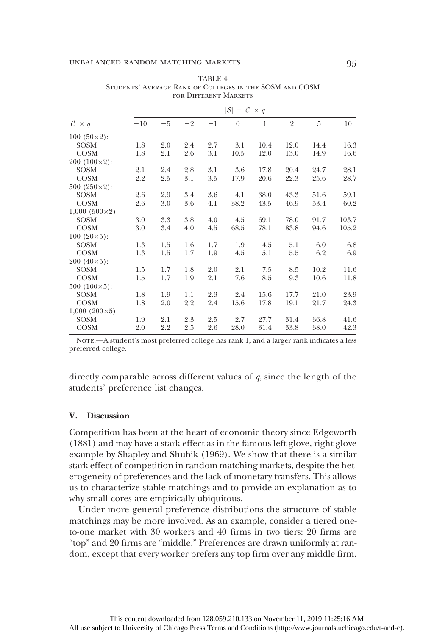|                        |       |         |      |      | $ \mathcal{S}  -  \mathcal{C}  \times q$ |              |                |                |       |
|------------------------|-------|---------|------|------|------------------------------------------|--------------|----------------|----------------|-------|
| $ C  \times q$         | $-10$ | $-5$    | $-2$ | $-1$ | $\Omega$                                 | $\mathbf{1}$ | $\overline{2}$ | $\overline{5}$ | 10    |
| $100 (50 \times 2)$ :  |       |         |      |      |                                          |              |                |                |       |
| <b>SOSM</b>            | 1.8   | 2.0     | 2.4  | 2.7  | 3.1                                      | 10.4         | 12.0           | 14.4           | 16.3  |
| <b>COSM</b>            | 1.8   | 2.1     | 2.6  | 3.1  | 10.5                                     | 12.0         | 13.0           | 14.9           | 16.6  |
| $200(100\times2)$ :    |       |         |      |      |                                          |              |                |                |       |
| <b>SOSM</b>            | 2.1   | 2.4     | 2.8  | 3.1  | 3.6                                      | 17.8         | 20.4           | 24.7           | 28.1  |
| COSM                   | 2.2   | 2.5     | 3.1  | 3.5  | 17.9                                     | 20.6         | 22.3           | 25.6           | 28.7  |
| 500 $(250 \times 2)$ : |       |         |      |      |                                          |              |                |                |       |
| <b>SOSM</b>            | 2.6   | 2.9     | 3.4  | 3.6  | 4.1                                      | 38.0         | 43.3           | 51.6           | 59.1  |
| <b>COSM</b>            | 2.6   | 3.0     | 3.6  | 4.1  | 38.2                                     | 43.5         | 46.9           | 53.4           | 60.2  |
| $1,000(500\times2)$    |       |         |      |      |                                          |              |                |                |       |
| <b>SOSM</b>            | 3.0   | 3.3     | 3.8  | 4.0  | 4.5                                      | 69.1         | 78.0           | 91.7           | 103.7 |
| <b>COSM</b>            | 3.0   | 3.4     | 4.0  | 4.5  | 68.5                                     | 78.1         | 83.8           | 94.6           | 105.2 |
| $100 (20 \times 5)$ :  |       |         |      |      |                                          |              |                |                |       |
| <b>SOSM</b>            | 1.3   | 1.5     | 1.6  | 1.7  | 1.9                                      | 4.5          | 5.1            | 6.0            | 6.8   |
| <b>COSM</b>            | 1.3   | 1.5     | 1.7  | 1.9  | 4.5                                      | 5.1          | 5.5            | 6.2            | 6.9   |
| $200 (40 \times 5)$ :  |       |         |      |      |                                          |              |                |                |       |
| <b>SOSM</b>            | 1.5   | $1.7\,$ | 1.8  | 2.0  | 2.1                                      | 7.5          | 8.5            | 10.2           | 11.6  |
| COSM                   | 1.5   | 1.7     | 1.9  | 2.1  | 7.6                                      | 8.5          | 9.3            | 10.6           | 11.8  |
| 500 $(100 \times 5)$ : |       |         |      |      |                                          |              |                |                |       |
| <b>SOSM</b>            | 1.8   | 1.9     | 1.1  | 2.3  | 2.4                                      | 15.6         | 17.7           | 21.0           | 23.9  |
| <b>COSM</b>            | 1.8   | 2.0     | 2.2  | 2.4  | 15.6                                     | 17.8         | 19.1           | 21.7           | 24.3  |
| $1,000(200\times5)$ :  |       |         |      |      |                                          |              |                |                |       |
| <b>SOSM</b>            | 1.9   | 2.1     | 2.3  | 2.5  | 2.7                                      | 27.7         | 31.4           | 36.8           | 41.6  |
| <b>COSM</b>            | 2.0   | 2.2     | 2.5  | 2.6  | 28.0                                     | 31.4         | 33.8           | 38.0           | 42.3  |

TABLE 4 Students' Average Rank of Colleges in the SOSM and COSM for Different Markets

NOTE. - A student's most preferred college has rank 1, and a larger rank indicates a less preferred college.

directly comparable across different values of  $q$ , since the length of the students' preference list changes.

# V. Discussion

Competition has been at the heart of economic theory since Edgeworth (1881) and may have a stark effect as in the famous left glove, right glove example by Shapley and Shubik (1969). We show that there is a similar stark effect of competition in random matching markets, despite the heterogeneity of preferences and the lack of monetary transfers. This allows us to characterize stable matchings and to provide an explanation as to why small cores are empirically ubiquitous.

Under more general preference distributions the structure of stable matchings may be more involved. As an example, consider a tiered oneto-one market with 30 workers and 40 firms in two tiers: 20 firms are "top" and 20 firms are "middle." Preferences are drawn uniformly at random, except that every worker prefers any top firm over any middle firm.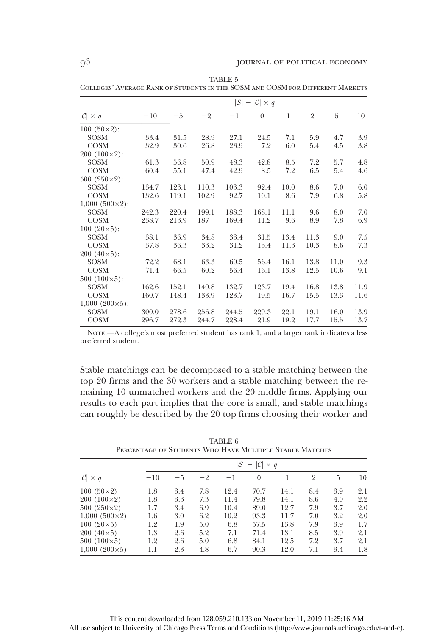|                        |       |       |       |       | $ \mathcal{S}  -  \mathcal{C}  \times q$ |              |                |      |      |
|------------------------|-------|-------|-------|-------|------------------------------------------|--------------|----------------|------|------|
| $ C  \times q$         | $-10$ | $-5$  | $-2$  | $-1$  | $\theta$                                 | $\mathbf{1}$ | $\overline{2}$ | 5    | 10   |
| $100(50\times2)$ :     |       |       |       |       |                                          |              |                |      |      |
| <b>SOSM</b>            | 33.4  | 31.5  | 28.9  | 27.1  | 24.5                                     | 7.1          | 5.9            | 4.7  | 3.9  |
| <b>COSM</b>            | 32.9  | 30.6  | 26.8  | 23.9  | 7.2                                      | 6.0          | 5.4            | 4.5  | 3.8  |
| $200(100\times2)$ :    |       |       |       |       |                                          |              |                |      |      |
| <b>SOSM</b>            | 61.3  | 56.8  | 50.9  | 48.3  | 42.8                                     | 8.5          | 7.2            | 5.7  | 4.8  |
| <b>COSM</b>            | 60.4  | 55.1  | 47.4  | 42.9  | 8.5                                      | 7.2          | 6.5            | 5.4  | 4.6  |
| 500 $(250 \times 2)$ : |       |       |       |       |                                          |              |                |      |      |
| <b>SOSM</b>            | 134.7 | 123.1 | 110.3 | 103.3 | 92.4                                     | 10.0         | 8.6            | 7.0  | 6.0  |
| COSM                   | 132.6 | 119.1 | 102.9 | 92.7  | 10.1                                     | 8.6          | 7.9            | 6.8  | 5.8  |
| $1,000(500\times2)$ :  |       |       |       |       |                                          |              |                |      |      |
| <b>SOSM</b>            | 242.3 | 220.4 | 199.1 | 188.3 | 168.1                                    | 11.1         | 9.6            | 8.0  | 7.0  |
| <b>COSM</b>            | 238.7 | 213.9 | 187   | 169.4 | 11.2                                     | 9.6          | 8.9            | 7.8  | 6.9  |
| $100(20\times5)$ :     |       |       |       |       |                                          |              |                |      |      |
| <b>SOSM</b>            | 38.1  | 36.9  | 34.8  | 33.4  | 31.5                                     | 13.4         | 11.3           | 9.0  | 7.5  |
| <b>COSM</b>            | 37.8  | 36.3  | 33.2  | 31.2  | 13.4                                     | 11.3         | 10.3           | 8.6  | 7.3  |
| $200 (40 \times 5)$ :  |       |       |       |       |                                          |              |                |      |      |
| <b>SOSM</b>            | 72.2  | 68.1  | 63.3  | 60.5  | 56.4                                     | 16.1         | 13.8           | 11.0 | 9.3  |
| COSM                   | 71.4  | 66.5  | 60.2  | 56.4  | 16.1                                     | 13.8         | 12.5           | 10.6 | 9.1  |
| 500 $(100 \times 5)$ : |       |       |       |       |                                          |              |                |      |      |
| <b>SOSM</b>            | 162.6 | 152.1 | 140.8 | 132.7 | 123.7                                    | 19.4         | 16.8           | 13.8 | 11.9 |
| <b>COSM</b>            | 160.7 | 148.4 | 133.9 | 123.7 | 19.5                                     | 16.7         | 15.5           | 13.3 | 11.6 |
| $1,000(200\times5)$ :  |       |       |       |       |                                          |              |                |      |      |
| <b>SOSM</b>            | 300.0 | 278.6 | 256.8 | 244.5 | 229.3                                    | 22.1         | 19.1           | 16.0 | 13.9 |
| <b>COSM</b>            | 296.7 | 272.3 | 244.7 | 228.4 | 21.9                                     | 19.2         | 17.7           | 15.5 | 13.7 |

TABLE 5 Colleges' Average Rank of Students in the SOSM and COSM for Different Markets

NOTE. - A college's most preferred student has rank 1, and a larger rank indicates a less preferred student.

Stable matchings can be decomposed to a stable matching between the top 20 firms and the 30 workers and a stable matching between the remaining 10 unmatched workers and the 20 middle firms. Applying our results to each part implies that the core is small, and stable matchings can roughly be described by the 20 top firms choosing their worker and

| $ C  \times q$      |         |      |      | $ \mathcal{S} $ | C <br>$\times q$<br>$\hspace{1.0cm} \rule{1.5cm}{0.15cm}$ |      |                |     |     |
|---------------------|---------|------|------|-----------------|-----------------------------------------------------------|------|----------------|-----|-----|
|                     | $-10$   | $-5$ | $-2$ | $-1$            | $\Omega$                                                  |      | $\overline{2}$ | 5   | 10  |
| $100(50\times2)$    | 1.8     | 3.4  | 7.8  | 12.4            | 70.7                                                      | 14.1 | 8.4            | 3.9 | 2.1 |
| $200(100\times2)$   | 1.8     | 3.3  | 7.3  | 11.4            | 79.8                                                      | 14.1 | 8.6            | 4.0 | 2.2 |
| 500 $(250\times2)$  | $1.7\,$ | 3.4  | 6.9  | 10.4            | 89.0                                                      | 12.7 | 7.9            | 3.7 | 2.0 |
| $1,000(500\times2)$ | 1.6     | 3.0  | 6.2  | 10.2            | 93.3                                                      | 11.7 | 7.0            | 3.2 | 2.0 |
| $100(20\times5)$    | 1.2     | 1.9  | 5.0  | 6.8             | 57.5                                                      | 13.8 | 7.9            | 3.9 | 1.7 |
| $200 (40 \times 5)$ | 1.3     | 2.6  | 5.2  | 7.1             | 71.4                                                      | 13.1 | 8.5            | 3.9 | 2.1 |
| 500 $(100\times5)$  | 1.2     | 2.6  | 5.0  | 6.8             | 84.1                                                      | 12.5 | 7.2            | 3.7 | 2.1 |
| $1,000(200\times5)$ | 1.1     | 2.3  | 4.8  | 6.7             | 90.3                                                      | 12.0 | 7.1            | 3.4 | 1.8 |

TABLE 6 Percentage of Students Who Have Multiple Stable Matches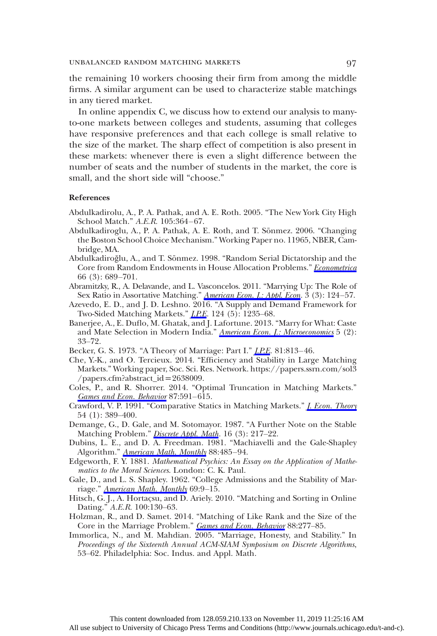the remaining 10 workers choosing their firm from among the middle firms. A similar argument can be used to characterize stable matchings in any tiered market.

In online appendix C, we discuss how to extend our analysis to manyto-one markets between colleges and students, assuming that colleges have responsive preferences and that each college is small relative to the size of the market. The sharp effect of competition is also present in these markets: whenever there is even a slight difference between the number of seats and the number of students in the market, the core is small, and the short side will "choose."

### References

- Abdulkadirolu, A., P. A. Pathak, and A. E. Roth. 2005. "The New York City High School Match." A.E.R. 105:364–67.
- Abdulkadiroglu, A., P. A. Pathak, A. E. Roth, and T. Sönmez. 2006. "Changing the Boston School Choice Mechanism." Working Paper no. 11965, NBER, Cambridge, MA.
- Abdulkadiroğlu, A., and T. Sönmez. 1998. "Random Serial Dictatorship and the Core from Random Endowments in House Allocation Problems." [Econometrica](https://www.journals.uchicago.edu/action/showLinks?doi=10.1086%2F689869&crossref=10.2307%2F2998580&citationId=p_28) 66 (3): 689–701.
- Abramitzky, R., A. Delavande, and L. Vasconcelos. 2011. "Marrying Up: The Role of Sex Ratio in Assortative Matching." American Econ. I.: Appl. Econ. 3 (3): 124–57.
- Azevedo, E. D., and J. D. Leshno. 2016. "A Supply and Demand Framework for Two-Sided Matching Markets." [J.P.E.](https://www.journals.uchicago.edu/action/showLinks?doi=10.1086%2F689869&system=10.1086%2F687476&citationId=p_30) 124 (5): 1235–68.
- Banerjee, A., E. Duflo, M. Ghatak, and J. Lafortune. 2013. "Marry for What: Caste and Mate Selection in Modern India." American Econ. I.: Microeconomics 5 (2): 33–72.
- Becker, G. S. 1973. "A Theory of Marriage: Part I." *[J.P.E.](https://www.journals.uchicago.edu/action/showLinks?doi=10.1086%2F689869&system=10.1086%2F260084&citationId=p_32)* 81:813-46.
- Che, Y.-K., and O. Tercieux. 2014. "Efficiency and Stability in Large Matching Markets." Working paper, Soc. Sci. Res. Network. https://papers.ssrn.com/sol3 /papers.cfm?abstract\_id =  $2638009$ .
- Coles, P., and R. Shorrer. 2014. "Optimal Truncation in Matching Markets." [Games and Econ. Behavior](https://www.journals.uchicago.edu/action/showLinks?doi=10.1086%2F689869&crossref=10.1016%2Fj.geb.2014.01.005&citationId=p_34) 87:591–615.
- Crawford, V. P. 1991. "Comparative Statics in Matching Markets." *[J. Econ. Theory](https://www.journals.uchicago.edu/action/showLinks?doi=10.1086%2F689869&crossref=10.1016%2F0022-0531%2891%2990129-R&citationId=p_35)* 54 (1): 389–400.
- Demange, G., D. Gale, and M. Sotomayor. 1987. "A Further Note on the Stable Matching Problem." [Discrete Appl. Math](https://www.journals.uchicago.edu/action/showLinks?doi=10.1086%2F689869&crossref=10.1016%2F0166-218X%2887%2990059-X&citationId=p_36). 16 (3): 217-22.
- Dubins, L. E., and D. A. Freedman. 1981. "Machiavelli and the Gale-Shapley Algorithm." *[American Math. Monthly](https://www.journals.uchicago.edu/action/showLinks?doi=10.1086%2F689869&crossref=10.1080%2F00029890.1981.11995301&citationId=p_37)* 88:485–94.
- Edgeworth, F. Y. 1881. Mathematical Psychics: An Essay on the Application of Mathematics to the Moral Sciences. London: C. K. Paul.
- Gale, D., and L. S. Shapley. 1962. "College Admissions and the Stability of Mar-riage." [American Math. Monthly](https://www.journals.uchicago.edu/action/showLinks?doi=10.1086%2F689869&crossref=10.1080%2F00029890.1962.11989827&citationId=p_39) 69:9-15.
- Hitsch, G. J., A. Hortaçsu, and D. Ariely. 2010. "Matching and Sorting in Online Dating." A.E.R. 100:130–63.
- Holzman, R., and D. Samet. 2014. "Matching of Like Rank and the Size of the Core in the Marriage Problem." [Games and Econ. Behavior](https://www.journals.uchicago.edu/action/showLinks?doi=10.1086%2F689869&crossref=10.1016%2Fj.geb.2014.10.003&citationId=p_41) 88:277–85.
- Immorlica, N., and M. Mahdian. 2005. "Marriage, Honesty, and Stability." In Proceedings of the Sixteenth Annual ACM-SIAM Symposium on Discrete Algorithms, 53–62. Philadelphia: Soc. Indus. and Appl. Math.